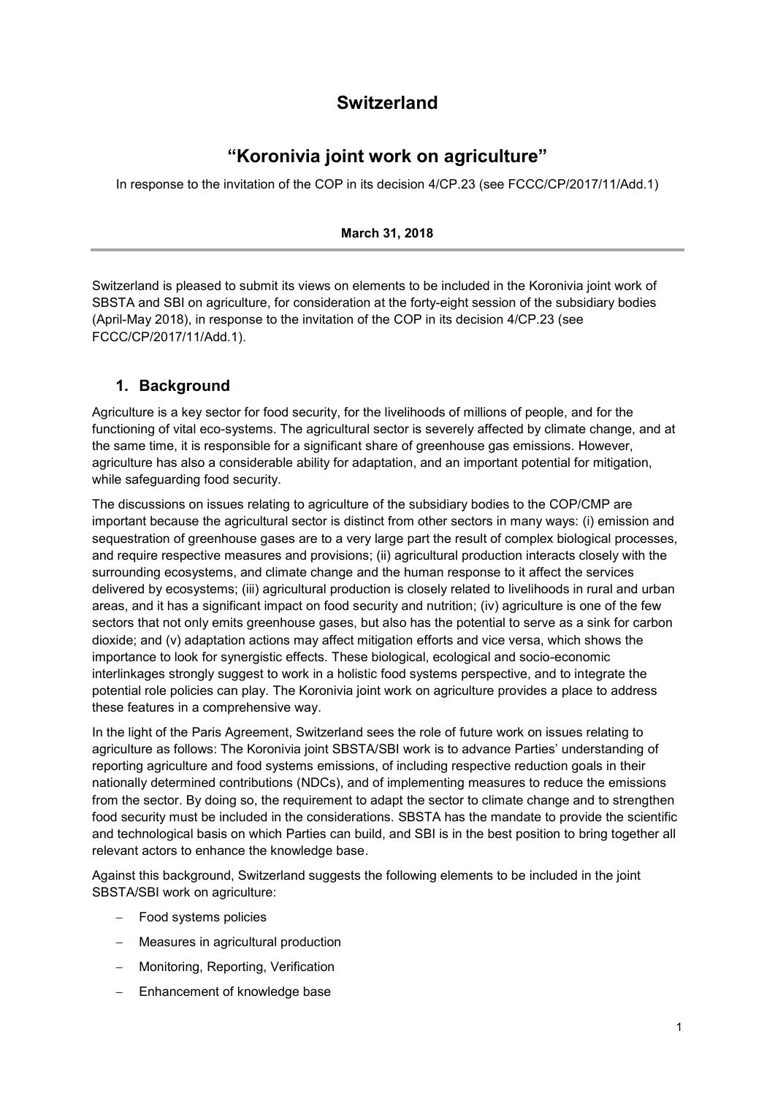# **Switzerland**

## **"Koronivia joint work on agriculture"**

In response to the invitation of the COP in its decision 4/CP.23 (see FCCC/CP/2017/11/Add.1)

#### **March 31, 2018**

Switzerland is pleased to submit its views on elements to be included in the Koronivia joint work of SBSTA and SBI on agriculture, for consideration at the forty-eight session of the subsidiary bodies (April-May 2018), in response to the invitation of the COP in its decision 4/CP.23 (see FCCC/CP/2017/11/Add.1).

### **1. Background**

Agriculture is a key sector for food security, for the livelihoods of millions of people, and for the functioning of vital eco-systems. The agricultural sector is severely affected by climate change, and at the same time, it is responsible for a significant share of greenhouse gas emissions. However, agriculture has also a considerable ability for adaptation, and an important potential for mitigation, while safeguarding food security.

The discussions on issues relating to agriculture of the subsidiary bodies to the COP/CMP are important because the agricultural sector is distinct from other sectors in many ways: (i) emission and sequestration of greenhouse gases are to a very large part the result of complex biological processes, and require respective measures and provisions; (ii) agricultural production interacts closely with the surrounding ecosystems, and climate change and the human response to it affect the services delivered by ecosystems; (iii) agricultural production is closely related to livelihoods in rural and urban areas, and it has a significant impact on food security and nutrition; (iv) agriculture is one of the few sectors that not only emits greenhouse gases, but also has the potential to serve as a sink for carbon dioxide; and (v) adaptation actions may affect mitigation efforts and vice versa, which shows the importance to look for synergistic effects. These biological, ecological and socio-economic interlinkages strongly suggest to work in a holistic food systems perspective, and to integrate the potential role policies can play. The Koronivia joint work on agriculture provides a place to address these features in a comprehensive way.

In the light of the Paris Agreement, Switzerland sees the role of future work on issues relating to agriculture as follows: The Koronivia joint SBSTA/SBI work is to advance Parties' understanding of reporting agriculture and food systems emissions, of including respective reduction goals in their nationally determined contributions (NDCs), and of implementing measures to reduce the emissions from the sector. By doing so, the requirement to adapt the sector to climate change and to strengthen food security must be included in the considerations. SBSTA has the mandate to provide the scientific and technological basis on which Parties can build, and SBI is in the best position to bring together all relevant actors to enhance the knowledge base.

Against this background, Switzerland suggests the following elements to be included in the joint SBSTA/SBI work on agriculture:

- Food systems policies
- Measures in agricultural production
- Monitoring, Reporting, Verification
- Enhancement of knowledge base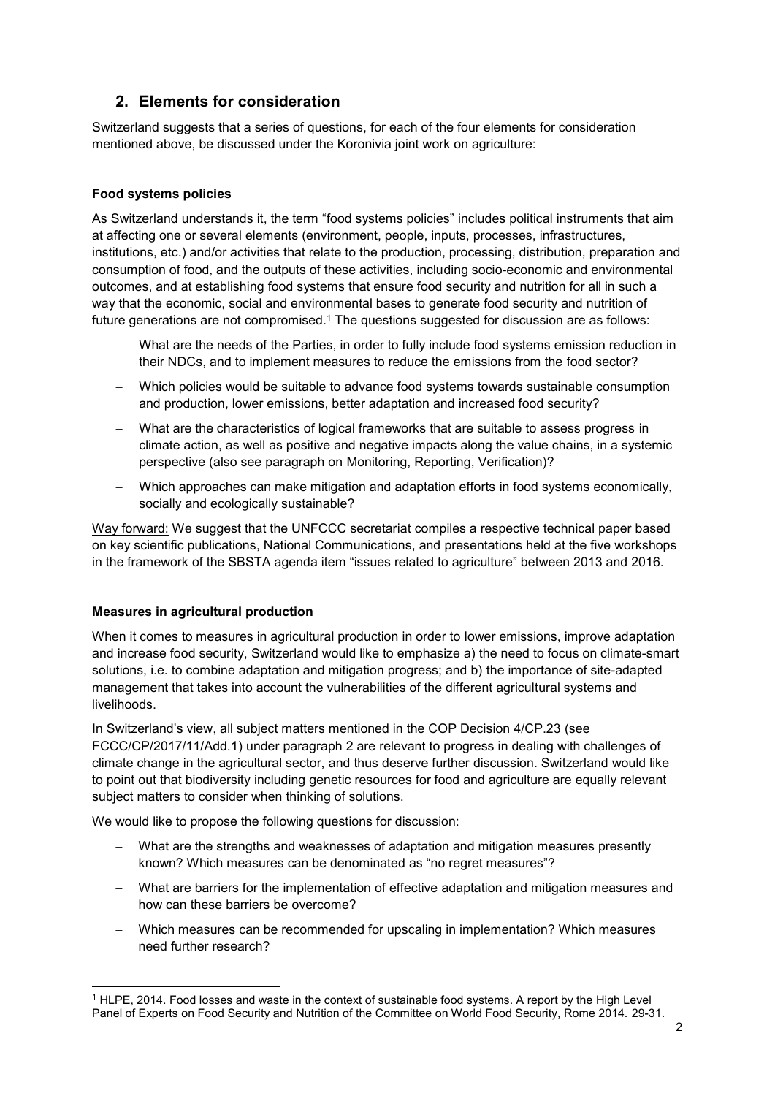## **2. Elements for consideration**

Switzerland suggests that a series of questions, for each of the four elements for consideration mentioned above, be discussed under the Koronivia joint work on agriculture:

### **Food systems policies**

As Switzerland understands it, the term "food systems policies" includes political instruments that aim at affecting one or several elements (environment, people, inputs, processes, infrastructures, institutions, etc.) and/or activities that relate to the production, processing, distribution, preparation and consumption of food, and the outputs of these activities, including socio-economic and environmental outcomes, and at establishing food systems that ensure food security and nutrition for all in such a way that the economic, social and environmental bases to generate food security and nutrition of future generations are not compromised.<sup>1</sup> The questions suggested for discussion are as follows:

- What are the needs of the Parties, in order to fully include food systems emission reduction in their NDCs, and to implement measures to reduce the emissions from the food sector?
- Which policies would be suitable to advance food systems towards sustainable consumption and production, lower emissions, better adaptation and increased food security?
- What are the characteristics of logical frameworks that are suitable to assess progress in climate action, as well as positive and negative impacts along the value chains, in a systemic perspective (also see paragraph on Monitoring, Reporting, Verification)?
- Which approaches can make mitigation and adaptation efforts in food systems economically, socially and ecologically sustainable?

Way forward: We suggest that the UNFCCC secretariat compiles a respective technical paper based on key scientific publications, National Communications, and presentations held at the five workshops in the framework of the SBSTA agenda item "issues related to agriculture" between 2013 and 2016.

#### **Measures in agricultural production**

When it comes to measures in agricultural production in order to lower emissions, improve adaptation and increase food security, Switzerland would like to emphasize a) the need to focus on climate-smart solutions, i.e. to combine adaptation and mitigation progress; and b) the importance of site-adapted management that takes into account the vulnerabilities of the different agricultural systems and livelihoods.

In Switzerland's view, all subject matters mentioned in the COP Decision 4/CP.23 (see FCCC/CP/2017/11/Add.1) under paragraph 2 are relevant to progress in dealing with challenges of climate change in the agricultural sector, and thus deserve further discussion. Switzerland would like to point out that biodiversity including genetic resources for food and agriculture are equally relevant subject matters to consider when thinking of solutions.

We would like to propose the following questions for discussion:

- What are the strengths and weaknesses of adaptation and mitigation measures presently known? Which measures can be denominated as "no regret measures"?
- What are barriers for the implementation of effective adaptation and mitigation measures and how can these barriers be overcome?
- Which measures can be recommended for upscaling in implementation? Which measures need further research?

<sup>1</sup> <sup>1</sup> HLPE, 2014. Food losses and waste in the context of sustainable food systems. A report by the High Level Panel of Experts on Food Security and Nutrition of the Committee on World Food Security, Rome 2014. 29-31.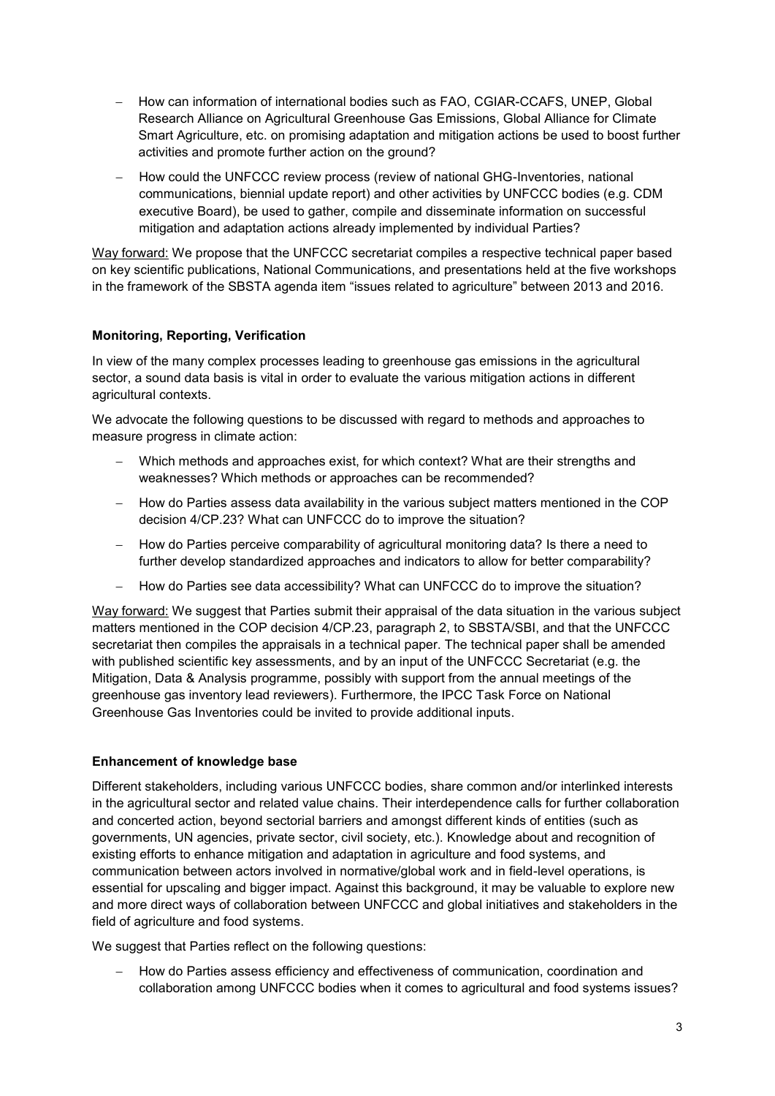- How can information of international bodies such as FAO, CGIAR-CCAFS, UNEP, Global Research Alliance on Agricultural Greenhouse Gas Emissions, Global Alliance for Climate Smart Agriculture, etc. on promising adaptation and mitigation actions be used to boost further activities and promote further action on the ground?
- How could the UNFCCC review process (review of national GHG-Inventories, national communications, biennial update report) and other activities by UNFCCC bodies (e.g. CDM executive Board), be used to gather, compile and disseminate information on successful mitigation and adaptation actions already implemented by individual Parties?

Way forward: We propose that the UNFCCC secretariat compiles a respective technical paper based on key scientific publications, National Communications, and presentations held at the five workshops in the framework of the SBSTA agenda item "issues related to agriculture" between 2013 and 2016.

### **Monitoring, Reporting, Verification**

In view of the many complex processes leading to greenhouse gas emissions in the agricultural sector, a sound data basis is vital in order to evaluate the various mitigation actions in different agricultural contexts.

We advocate the following questions to be discussed with regard to methods and approaches to measure progress in climate action:

- Which methods and approaches exist, for which context? What are their strengths and weaknesses? Which methods or approaches can be recommended?
- How do Parties assess data availability in the various subject matters mentioned in the COP decision 4/CP.23? What can UNFCCC do to improve the situation?
- How do Parties perceive comparability of agricultural monitoring data? Is there a need to further develop standardized approaches and indicators to allow for better comparability?
- How do Parties see data accessibility? What can UNFCCC do to improve the situation?

Way forward: We suggest that Parties submit their appraisal of the data situation in the various subject matters mentioned in the COP decision 4/CP.23, paragraph 2, to SBSTA/SBI, and that the UNFCCC secretariat then compiles the appraisals in a technical paper. The technical paper shall be amended with published scientific key assessments, and by an input of the UNFCCC Secretariat (e.g. the Mitigation, Data & Analysis programme, possibly with support from the annual meetings of the greenhouse gas inventory lead reviewers). Furthermore, the IPCC Task Force on National Greenhouse Gas Inventories could be invited to provide additional inputs.

### **Enhancement of knowledge base**

Different stakeholders, including various UNFCCC bodies, share common and/or interlinked interests in the agricultural sector and related value chains. Their interdependence calls for further collaboration and concerted action, beyond sectorial barriers and amongst different kinds of entities (such as governments, UN agencies, private sector, civil society, etc.). Knowledge about and recognition of existing efforts to enhance mitigation and adaptation in agriculture and food systems, and communication between actors involved in normative/global work and in field-level operations, is essential for upscaling and bigger impact. Against this background, it may be valuable to explore new and more direct ways of collaboration between UNFCCC and global initiatives and stakeholders in the field of agriculture and food systems.

We suggest that Parties reflect on the following questions:

- How do Parties assess efficiency and effectiveness of communication, coordination and collaboration among UNFCCC bodies when it comes to agricultural and food systems issues?